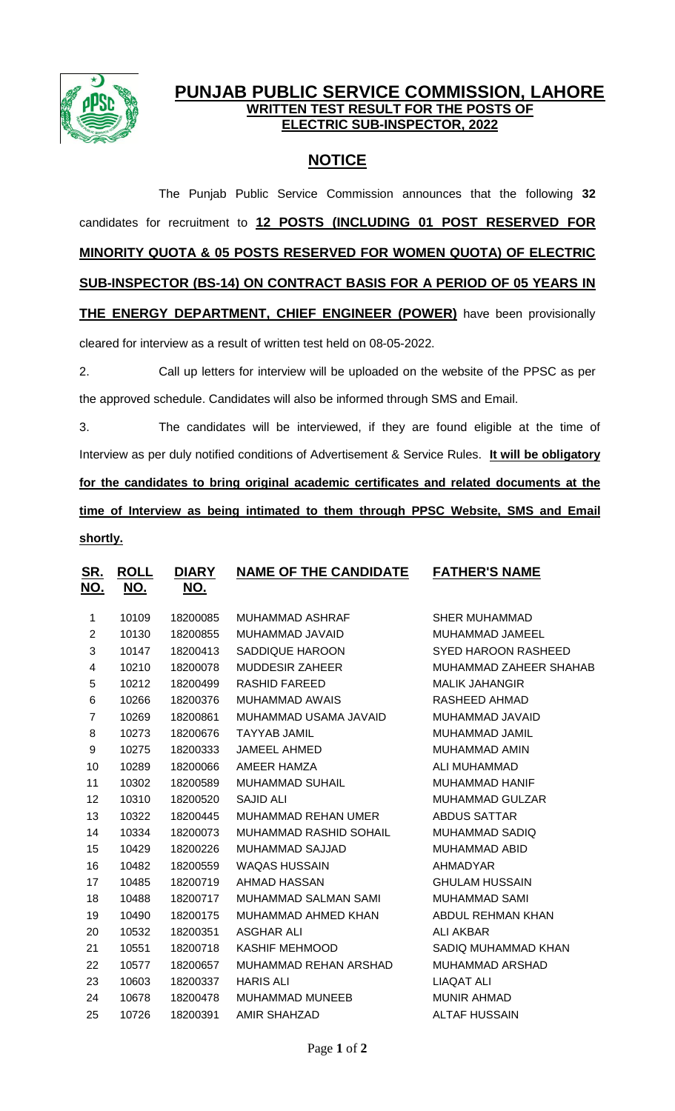

## **PUNJAB PUBLIC SERVICE COMMISSION, LAHORE WRITTEN TEST RESULT FOR THE POSTS OF ELECTRIC SUB-INSPECTOR, 2022**

# **NOTICE**

The Punjab Public Service Commission announces that the following **32** candidates for recruitment to **12 POSTS (INCLUDING 01 POST RESERVED FOR MINORITY QUOTA & 05 POSTS RESERVED FOR WOMEN QUOTA) OF ELECTRIC SUB-INSPECTOR (BS-14) ON CONTRACT BASIS FOR A PERIOD OF 05 YEARS IN THE ENERGY DEPARTMENT, CHIEF ENGINEER (POWER)** have been provisionally cleared for interview as a result of written test held on 08-05-2022.

2. Call up letters for interview will be uploaded on the website of the PPSC as per the approved schedule. Candidates will also be informed through SMS and Email.

3. The candidates will be interviewed, if they are found eligible at the time of Interview as per duly notified conditions of Advertisement & Service Rules. **It will be obligatory for the candidates to bring original academic certificates and related documents at the time of Interview as being intimated to them through PPSC Website, SMS and Email shortly.**

| <u>SR.</u><br><u>NO.</u> | <u>ROLL</u><br><u>NO.</u> | <b>DIARY</b><br>NO. | <b>NAME OF THE CANDIDATE</b>  | <b>FATHER'S NAME</b>       |
|--------------------------|---------------------------|---------------------|-------------------------------|----------------------------|
|                          |                           |                     |                               |                            |
| 1                        | 10109                     | 18200085            | <b>MUHAMMAD ASHRAF</b>        | <b>SHER MUHAMMAD</b>       |
| $\overline{2}$           | 10130                     | 18200855            | MUHAMMAD JAVAID               | MUHAMMAD JAMEEL            |
| 3                        | 10147                     | 18200413            | SADDIQUE HAROON               | <b>SYED HAROON RASHEED</b> |
| 4                        | 10210                     | 18200078            | <b>MUDDESIR ZAHEER</b>        | MUHAMMAD ZAHEER SHAHAB     |
| 5                        | 10212                     | 18200499            | <b>RASHID FAREED</b>          | <b>MALIK JAHANGIR</b>      |
| 6                        | 10266                     | 18200376            | <b>MUHAMMAD AWAIS</b>         | RASHEED AHMAD              |
| $\overline{7}$           | 10269                     | 18200861            | MUHAMMAD USAMA JAVAID         | MUHAMMAD JAVAID            |
| 8                        | 10273                     | 18200676            | <b>TAYYAB JAMIL</b>           | MUHAMMAD JAMIL             |
| 9                        | 10275                     | 18200333            | <b>JAMEEL AHMED</b>           | <b>MUHAMMAD AMIN</b>       |
| 10                       | 10289                     | 18200066            | AMEER HAMZA                   | ALI MUHAMMAD               |
| 11                       | 10302                     | 18200589            | <b>MUHAMMAD SUHAIL</b>        | <b>MUHAMMAD HANIF</b>      |
| 12                       | 10310                     | 18200520            | <b>SAJID ALI</b>              | <b>MUHAMMAD GULZAR</b>     |
| 13                       | 10322                     | 18200445            | <b>MUHAMMAD REHAN UMER</b>    | <b>ABDUS SATTAR</b>        |
| 14                       | 10334                     | 18200073            | <b>MUHAMMAD RASHID SOHAIL</b> | <b>MUHAMMAD SADIQ</b>      |
| 15                       | 10429                     | 18200226            | <b>MUHAMMAD SAJJAD</b>        | <b>MUHAMMAD ABID</b>       |
| 16                       | 10482                     | 18200559            | <b>WAQAS HUSSAIN</b>          | AHMADYAR                   |
| 17                       | 10485                     | 18200719            | AHMAD HASSAN                  | <b>GHULAM HUSSAIN</b>      |
| 18                       | 10488                     | 18200717            | MUHAMMAD SALMAN SAMI          | <b>MUHAMMAD SAMI</b>       |
| 19                       | 10490                     | 18200175            | MUHAMMAD AHMED KHAN           | ABDUL REHMAN KHAN          |
| 20                       | 10532                     | 18200351            | ASGHAR ALI                    | <b>ALI AKBAR</b>           |
| 21                       | 10551                     | 18200718            | KASHIF MEHMOOD                | SADIQ MUHAMMAD KHAN        |
| 22                       | 10577                     | 18200657            | MUHAMMAD REHAN ARSHAD         | <b>MUHAMMAD ARSHAD</b>     |
| 23                       | 10603                     | 18200337            | <b>HARIS ALI</b>              | <b>LIAQAT ALI</b>          |
| 24                       | 10678                     | 18200478            | <b>MUHAMMAD MUNEEB</b>        | <b>MUNIR AHMAD</b>         |
| 25                       | 10726                     | 18200391            | <b>AMIR SHAHZAD</b>           | <b>ALTAF HUSSAIN</b>       |
|                          |                           |                     |                               |                            |